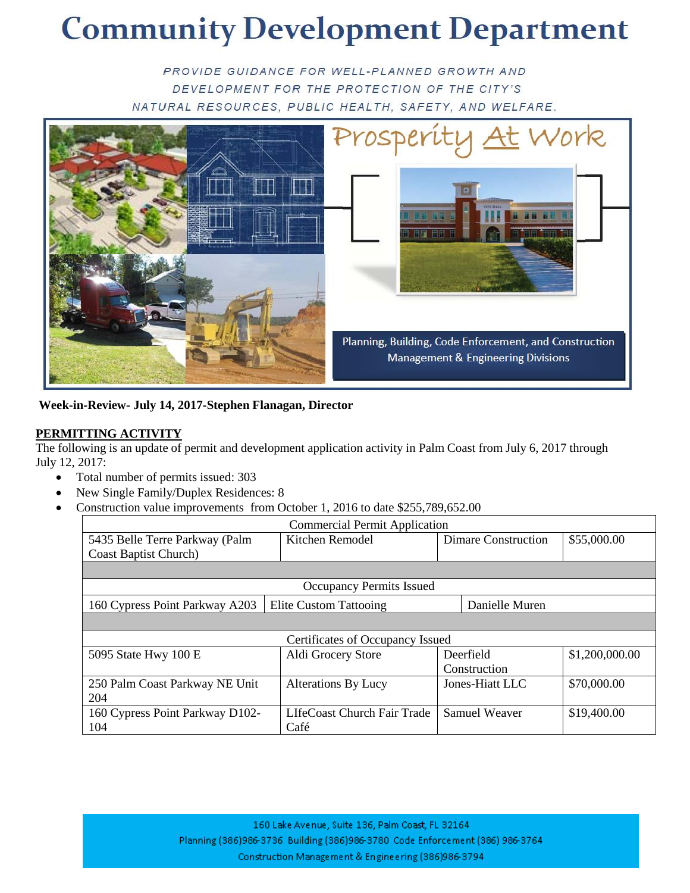# **Community Development Department**

PROVIDE GUIDANCE FOR WELL-PLANNED GROWTH AND DEVELOPMENT FOR THE PROTECTION OF THE CITY'S NATURAL RESOURCES, PUBLIC HEALTH, SAFETY, AND WELFARE.



**Week-in-Review- July 14, 2017-Stephen Flanagan, Director**

#### **PERMITTING ACTIVITY**

The following is an update of permit and development application activity in Palm Coast from July 6, 2017 through July 12, 2017:

- Total number of permits issued: 303
- New Single Family/Duplex Residences: 8
- Construction value improvements from October 1, 2016 to date \$255,789,652.00

| <b>Commercial Permit Application</b> |                               |                            |                |  |  |  |
|--------------------------------------|-------------------------------|----------------------------|----------------|--|--|--|
| 5435 Belle Terre Parkway (Palm       | Kitchen Remodel               | <b>Dimare Construction</b> | \$55,000.00    |  |  |  |
| <b>Coast Baptist Church</b> )        |                               |                            |                |  |  |  |
|                                      |                               |                            |                |  |  |  |
| <b>Occupancy Permits Issued</b>      |                               |                            |                |  |  |  |
| 160 Cypress Point Parkway A203       | <b>Elite Custom Tattooing</b> | Danielle Muren             |                |  |  |  |
|                                      |                               |                            |                |  |  |  |
| Certificates of Occupancy Issued     |                               |                            |                |  |  |  |
| 5095 State Hwy 100 E                 | Aldi Grocery Store            | Deerfield                  | \$1,200,000.00 |  |  |  |
|                                      |                               | Construction               |                |  |  |  |
| 250 Palm Coast Parkway NE Unit       | <b>Alterations By Lucy</b>    | Jones-Hiatt LLC            | \$70,000.00    |  |  |  |
| 204                                  |                               |                            |                |  |  |  |
| 160 Cypress Point Parkway D102-      | LIfeCoast Church Fair Trade   | Samuel Weaver              | \$19,400.00    |  |  |  |
| 104                                  | Café                          |                            |                |  |  |  |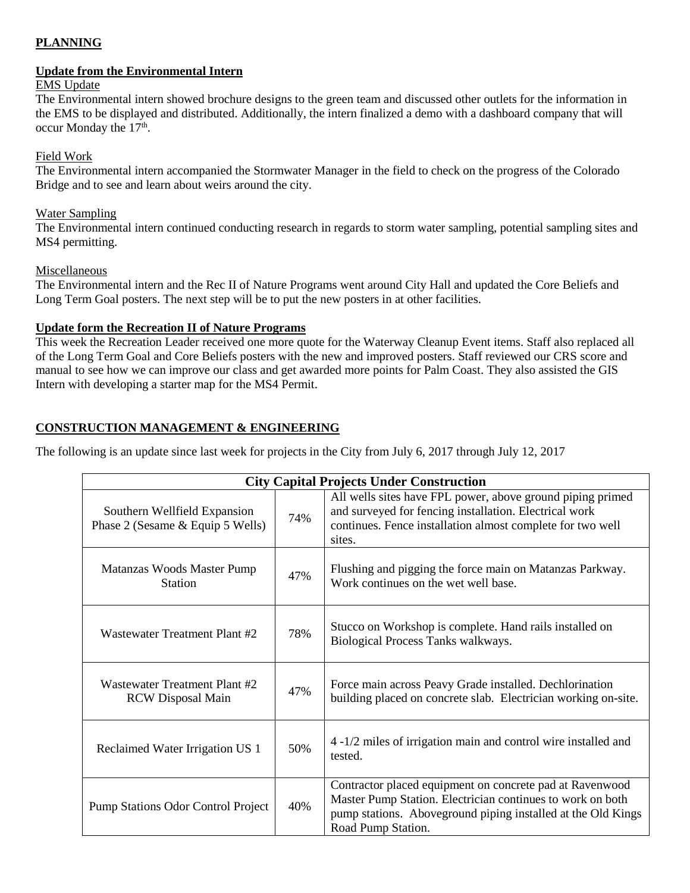#### **PLANNING**

## **Update from the Environmental Intern**

#### EMS Update

The Environmental intern showed brochure designs to the green team and discussed other outlets for the information in the EMS to be displayed and distributed. Additionally, the intern finalized a demo with a dashboard company that will occur Monday the  $17<sup>th</sup>$ .

### Field Work

The Environmental intern accompanied the Stormwater Manager in the field to check on the progress of the Colorado Bridge and to see and learn about weirs around the city.

#### Water Sampling

The Environmental intern continued conducting research in regards to storm water sampling, potential sampling sites and MS4 permitting.

### Miscellaneous

The Environmental intern and the Rec II of Nature Programs went around City Hall and updated the Core Beliefs and Long Term Goal posters. The next step will be to put the new posters in at other facilities.

### **Update form the Recreation II of Nature Programs**

This week the Recreation Leader received one more quote for the Waterway Cleanup Event items. Staff also replaced all of the Long Term Goal and Core Beliefs posters with the new and improved posters. Staff reviewed our CRS score and manual to see how we can improve our class and get awarded more points for Palm Coast. They also assisted the GIS Intern with developing a starter map for the MS4 Permit.

## **CONSTRUCTION MANAGEMENT & ENGINEERING**

The following is an update since last week for projects in the City from July 6, 2017 through July 12, 2017

| <b>City Capital Projects Under Construction</b>                  |     |                                                                                                                                                                                                              |  |  |
|------------------------------------------------------------------|-----|--------------------------------------------------------------------------------------------------------------------------------------------------------------------------------------------------------------|--|--|
| Southern Wellfield Expansion<br>Phase 2 (Sesame & Equip 5 Wells) | 74% | All wells sites have FPL power, above ground piping primed<br>and surveyed for fencing installation. Electrical work<br>continues. Fence installation almost complete for two well<br>sites.                 |  |  |
| Matanzas Woods Master Pump<br><b>Station</b>                     | 47% | Flushing and pigging the force main on Matanzas Parkway.<br>Work continues on the wet well base.                                                                                                             |  |  |
| Wastewater Treatment Plant #2                                    | 78% | Stucco on Workshop is complete. Hand rails installed on<br>Biological Process Tanks walkways.                                                                                                                |  |  |
| Wastewater Treatment Plant #2<br><b>RCW</b> Disposal Main        | 47% | Force main across Peavy Grade installed. Dechlorination<br>building placed on concrete slab. Electrician working on-site.                                                                                    |  |  |
| Reclaimed Water Irrigation US 1                                  | 50% | 4 -1/2 miles of irrigation main and control wire installed and<br>tested.                                                                                                                                    |  |  |
| <b>Pump Stations Odor Control Project</b>                        | 40% | Contractor placed equipment on concrete pad at Ravenwood<br>Master Pump Station. Electrician continues to work on both<br>pump stations. Aboveground piping installed at the Old Kings<br>Road Pump Station. |  |  |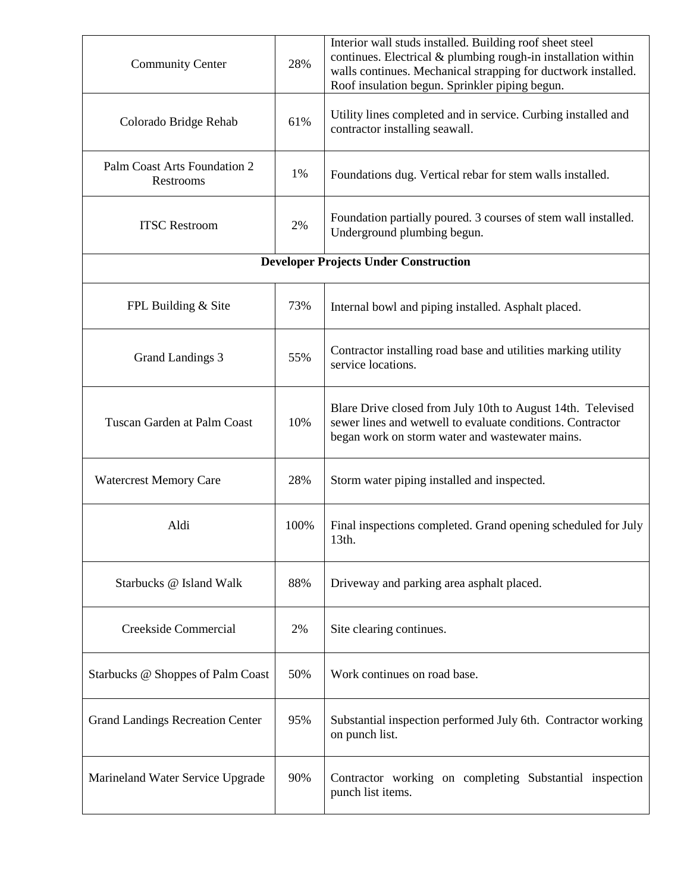| <b>Community Center</b>                      | 28%  | Interior wall studs installed. Building roof sheet steel<br>continues. Electrical & plumbing rough-in installation within<br>walls continues. Mechanical strapping for ductwork installed.<br>Roof insulation begun. Sprinkler piping begun. |  |  |
|----------------------------------------------|------|----------------------------------------------------------------------------------------------------------------------------------------------------------------------------------------------------------------------------------------------|--|--|
| Colorado Bridge Rehab                        | 61%  | Utility lines completed and in service. Curbing installed and<br>contractor installing seawall.                                                                                                                                              |  |  |
| Palm Coast Arts Foundation 2<br>Restrooms    | 1%   | Foundations dug. Vertical rebar for stem walls installed.                                                                                                                                                                                    |  |  |
| <b>ITSC Restroom</b>                         | 2%   | Foundation partially poured. 3 courses of stem wall installed.<br>Underground plumbing begun.                                                                                                                                                |  |  |
| <b>Developer Projects Under Construction</b> |      |                                                                                                                                                                                                                                              |  |  |
| FPL Building & Site                          | 73%  | Internal bowl and piping installed. Asphalt placed.                                                                                                                                                                                          |  |  |
| <b>Grand Landings 3</b>                      | 55%  | Contractor installing road base and utilities marking utility<br>service locations.                                                                                                                                                          |  |  |
| Tuscan Garden at Palm Coast                  | 10%  | Blare Drive closed from July 10th to August 14th. Televised<br>sewer lines and wetwell to evaluate conditions. Contractor<br>began work on storm water and wastewater mains.                                                                 |  |  |
| <b>Watercrest Memory Care</b>                | 28%  | Storm water piping installed and inspected.                                                                                                                                                                                                  |  |  |
| Aldi                                         | 100% | Final inspections completed. Grand opening scheduled for July<br>13th.                                                                                                                                                                       |  |  |
| Starbucks @ Island Walk                      | 88%  | Driveway and parking area asphalt placed.                                                                                                                                                                                                    |  |  |
| Creekside Commercial                         | 2%   | Site clearing continues.                                                                                                                                                                                                                     |  |  |
| Starbucks @ Shoppes of Palm Coast            | 50%  | Work continues on road base.                                                                                                                                                                                                                 |  |  |
| <b>Grand Landings Recreation Center</b>      | 95%  | Substantial inspection performed July 6th. Contractor working<br>on punch list.                                                                                                                                                              |  |  |
| Marineland Water Service Upgrade             | 90%  | Contractor working on completing Substantial inspection<br>punch list items.                                                                                                                                                                 |  |  |